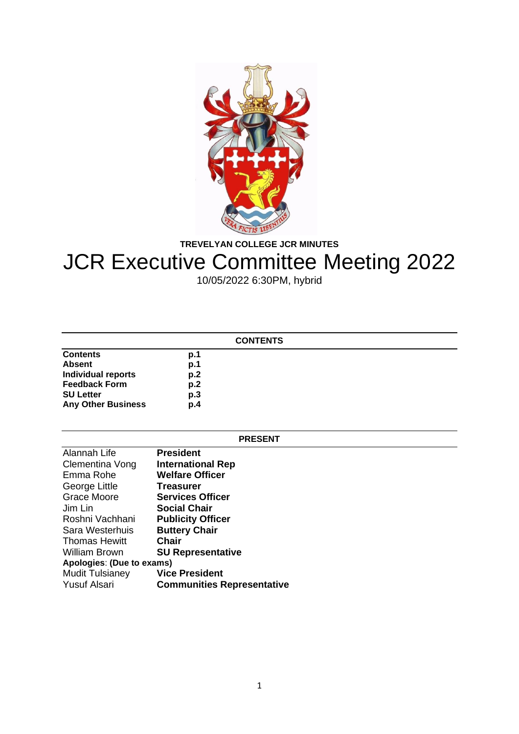

**TREVELYAN COLLEGE JCR MINUTES**

# JCR Executive Committee Meeting 2022

10/05/2022 6:30PM, hybrid

| <b>CONTENTS</b>           |     |  |
|---------------------------|-----|--|
| <b>Contents</b>           | p.1 |  |
| <b>Absent</b>             | p.1 |  |
| <b>Individual reports</b> | p.2 |  |
| <b>Feedback Form</b>      | p.2 |  |
| <b>SU Letter</b>          | p.3 |  |
| <b>Any Other Business</b> | p.4 |  |

### **PRESENT**

| Alannah Life              | <b>President</b>                  |  |
|---------------------------|-----------------------------------|--|
| Clementina Vong           | <b>International Rep</b>          |  |
| Emma Rohe                 | <b>Welfare Officer</b>            |  |
| George Little             | <b>Treasurer</b>                  |  |
| <b>Grace Moore</b>        | <b>Services Officer</b>           |  |
| Jim Lin                   | <b>Social Chair</b>               |  |
| Roshni Vachhani           | <b>Publicity Officer</b>          |  |
| Sara Westerhuis           | <b>Buttery Chair</b>              |  |
| <b>Thomas Hewitt</b>      | <b>Chair</b>                      |  |
| <b>William Brown</b>      | <b>SU Representative</b>          |  |
| Apologies: (Due to exams) |                                   |  |
| <b>Mudit Tulsianey</b>    | <b>Vice President</b>             |  |
| <b>Yusuf Alsari</b>       | <b>Communities Representative</b> |  |
|                           |                                   |  |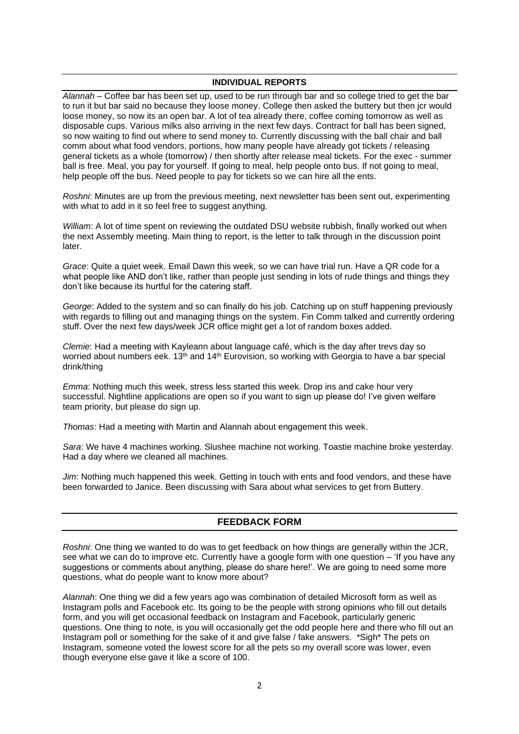## **INDIVIDUAL REPORTS**

*Alannah* – Coffee bar has been set up, used to be run through bar and so college tried to get the bar to run it but bar said no because they loose money. College then asked the buttery but then jcr would loose money, so now its an open bar. A lot of tea already there, coffee coming tomorrow as well as disposable cups. Various milks also arriving in the next few days. Contract for ball has been signed, so now waiting to find out where to send money to. Currently discussing with the ball chair and ball comm about what food vendors, portions, how many people have already got tickets / releasing general tickets as a whole (tomorrow) / then shortly after release meal tickets. For the exec - summer ball is free. Meal, you pay for yourself. If going to meal, help people onto bus. If not going to meal, help people off the bus. Need people to pay for tickets so we can hire all the ents.

*Roshni*: Minutes are up from the previous meeting, next newsletter has been sent out, experimenting with what to add in it so feel free to suggest anything.

*William*: A lot of time spent on reviewing the outdated DSU website rubbish, finally worked out when the next Assembly meeting. Main thing to report, is the letter to talk through in the discussion point later.

*Grace*: Quite a quiet week. Email Dawn this week, so we can have trial run. Have a QR code for a what people like AND don't like, rather than people just sending in lots of rude things and things they don't like because its hurtful for the catering staff.

*George*: Added to the system and so can finally do his job. Catching up on stuff happening previously with regards to filling out and managing things on the system. Fin Comm talked and currently ordering stuff. Over the next few days/week JCR office might get a lot of random boxes added.

*Clemie*: Had a meeting with Kayleann about language café, which is the day after trevs day so worried about numbers eek.  $13<sup>th</sup>$  and  $14<sup>th</sup>$  Eurovision, so working with Georgia to have a bar special drink/thing

*Emma*: Nothing much this week, stress less started this week. Drop ins and cake hour very successful. Nightline applications are open so if you want to sign up please do! I've given welfare team priority, but please do sign up.

*Thomas*: Had a meeting with Martin and Alannah about engagement this week.

*Sara*: We have 4 machines working. Slushee machine not working. Toastie machine broke yesterday. Had a day where we cleaned all machines.

*Jim*: Nothing much happened this week. Getting in touch with ents and food vendors, and these have been forwarded to Janice. Been discussing with Sara about what services to get from Buttery.

# **FEEDBACK FORM**

*Roshni*: One thing we wanted to do was to get feedback on how things are generally within the JCR, see what we can do to improve etc. Currently have a google form with one question – 'If you have any suggestions or comments about anything, please do share here!'. We are going to need some more questions, what do people want to know more about?

*Alannah*: One thing we did a few years ago was combination of detailed Microsoft form as well as Instagram polls and Facebook etc. Its going to be the people with strong opinions who fill out details form, and you will get occasional feedback on Instagram and Facebook, particularly generic questions. One thing to note, is you will occasionally get the odd people here and there who fill out an Instagram poll or something for the sake of it and give false / fake answers. \*Sigh\* The pets on Instagram, someone voted the lowest score for all the pets so my overall score was lower, even though everyone else gave it like a score of 100.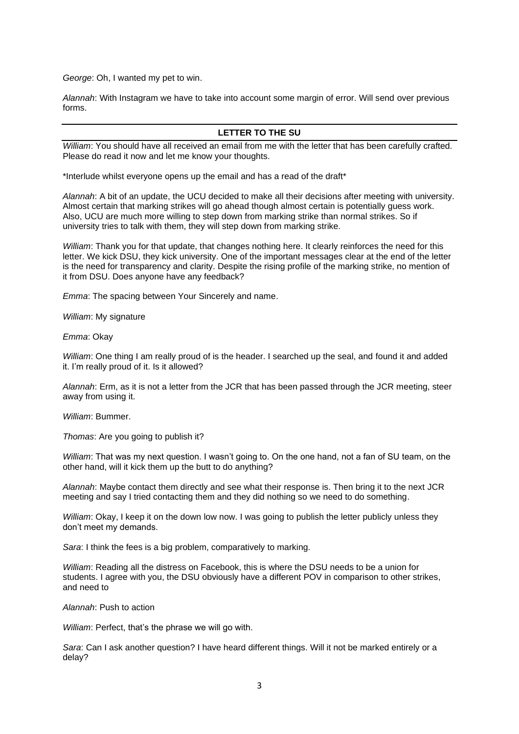*George*: Oh, I wanted my pet to win.

*Alannah*: With Instagram we have to take into account some margin of error. Will send over previous forms.

# **LETTER TO THE SU**

*William*: You should have all received an email from me with the letter that has been carefully crafted. Please do read it now and let me know your thoughts.

\*Interlude whilst everyone opens up the email and has a read of the draft\*

*Alannah*: A bit of an update, the UCU decided to make all their decisions after meeting with university. Almost certain that marking strikes will go ahead though almost certain is potentially guess work. Also, UCU are much more willing to step down from marking strike than normal strikes. So if university tries to talk with them, they will step down from marking strike.

*William*: Thank you for that update, that changes nothing here. It clearly reinforces the need for this letter. We kick DSU, they kick university. One of the important messages clear at the end of the letter is the need for transparency and clarity. Despite the rising profile of the marking strike, no mention of it from DSU. Does anyone have any feedback?

*Emma*: The spacing between Your Sincerely and name.

*William*: My signature

*Emma*: Okay

*William*: One thing I am really proud of is the header. I searched up the seal, and found it and added it. I'm really proud of it. Is it allowed?

*Alannah*: Erm, as it is not a letter from the JCR that has been passed through the JCR meeting, steer away from using it.

*William*: Bummer.

*Thomas*: Are you going to publish it?

*William*: That was my next question. I wasn't going to. On the one hand, not a fan of SU team, on the other hand, will it kick them up the butt to do anything?

*Alannah*: Maybe contact them directly and see what their response is. Then bring it to the next JCR meeting and say I tried contacting them and they did nothing so we need to do something.

*William*: Okay, I keep it on the down low now. I was going to publish the letter publicly unless they don't meet my demands.

*Sara*: I think the fees is a big problem, comparatively to marking.

*William*: Reading all the distress on Facebook, this is where the DSU needs to be a union for students. I agree with you, the DSU obviously have a different POV in comparison to other strikes, and need to

## *Alannah*: Push to action

*William*: Perfect, that's the phrase we will go with.

*Sara*: Can I ask another question? I have heard different things. Will it not be marked entirely or a delay?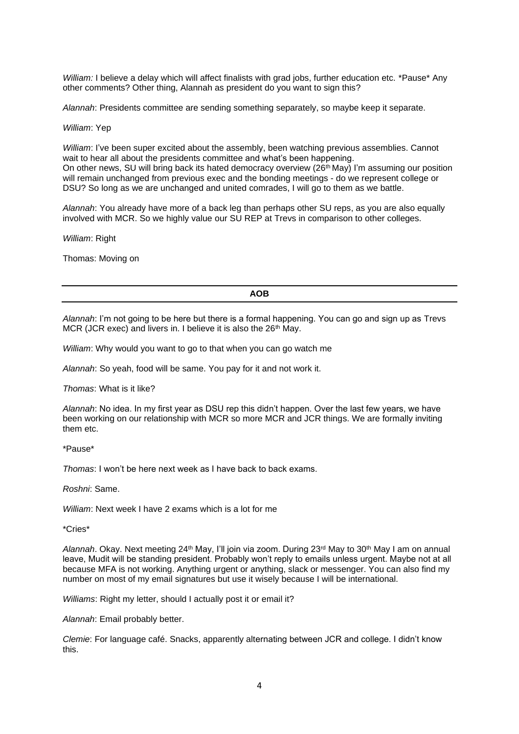*William:* I believe a delay which will affect finalists with grad jobs, further education etc. \*Pause\* Any other comments? Other thing, Alannah as president do you want to sign this?

*Alannah*: Presidents committee are sending something separately, so maybe keep it separate.

#### *William*: Yep

*William*: I've been super excited about the assembly, been watching previous assemblies. Cannot wait to hear all about the presidents committee and what's been happening. On other news, SU will bring back its hated democracy overview (26<sup>th</sup> May) I'm assuming our position will remain unchanged from previous exec and the bonding meetings - do we represent college or DSU? So long as we are unchanged and united comrades, I will go to them as we battle.

*Alannah*: You already have more of a back leg than perhaps other SU reps, as you are also equally involved with MCR. So we highly value our SU REP at Trevs in comparison to other colleges.

*William*: Right

Thomas: Moving on

#### **AOB**

*Alannah*: I'm not going to be here but there is a formal happening. You can go and sign up as Trevs MCR (JCR exec) and livers in. I believe it is also the 26<sup>th</sup> May.

*William*: Why would you want to go to that when you can go watch me

*Alannah*: So yeah, food will be same. You pay for it and not work it.

*Thomas*: What is it like?

*Alannah*: No idea. In my first year as DSU rep this didn't happen. Over the last few years, we have been working on our relationship with MCR so more MCR and JCR things. We are formally inviting them etc.

\*Pause\*

*Thomas*: I won't be here next week as I have back to back exams.

*Roshni*: Same.

*William*: Next week I have 2 exams which is a lot for me

\*Cries\*

*Alannah*. Okay. Next meeting 24th May, I'll join via zoom. During 23rd May to 30th May I am on annual leave, Mudit will be standing president. Probably won't reply to emails unless urgent. Maybe not at all because MFA is not working. Anything urgent or anything, slack or messenger. You can also find my number on most of my email signatures but use it wisely because I will be international.

*Williams*: Right my letter, should I actually post it or email it?

*Alannah*: Email probably better.

*Clemie*: For language café. Snacks, apparently alternating between JCR and college. I didn't know this.